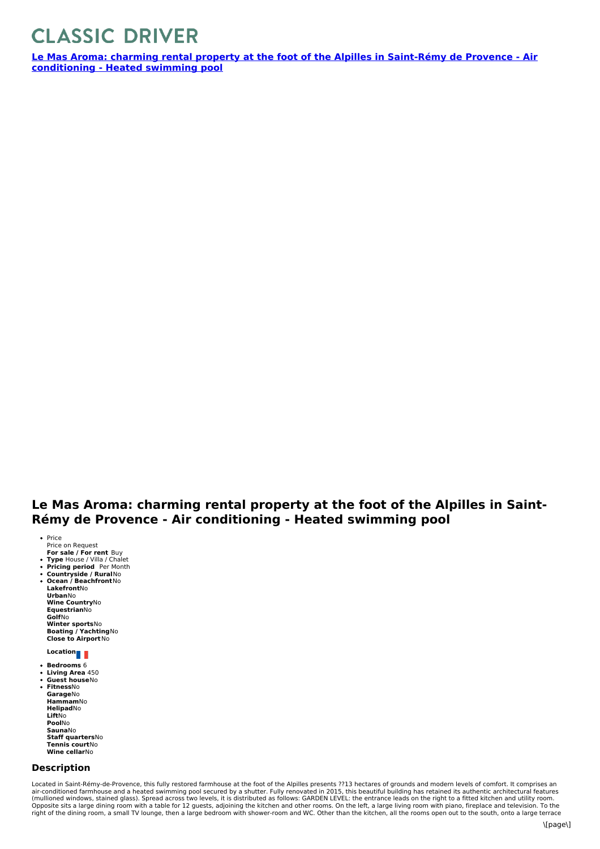## **CLASSIC DRIVER**

**Le Mas Aroma: charming rental property at the foot of the Alpilles in Saint-Rémy de Provence - Air [conditioning](https://www.classicdriver.com/en/real-estate/le-mas-aroma-charming-rental-property-foot-alpilles-saint-remy-de-provence-air) - Heated swimming pool**

## **Le Mas Aroma: charming rental property at the foot of the Alpilles in Saint- Rémy de Provence - Air conditioning - Heated swimming pool**

- **For sale / For rent** Buy • Price Price on Request
- 
- **Type** House / Villa / Chalet **Pricing period** Per Month **Countryside / Rural**No
- $\bullet$ **Ocean /Beachfront**No

**Lakefront**No **Urban**No **Wine Country**No **Equestrian**No **Golf**No **Winter sports**No **Boating / Yachting**No

**Close to Airport**No

## **Location**

- **Bedrooms** 6
- **Living Area** 450 **Guest house**No

**Fitness**No **Garage**No **Hammam**No **Helipad**No **Lift**No **Pool**No **Sauna**No **Staff quarters**No **Tennis court**No **Wine cellar**No

## **Description**

Located in Saint-Rémy-de-Provence, this fully restored farmhouse at the foot of the Alpilles presents ??13 hectares of grounds and modern levels of comfort. It comprises an air-conditioned farmhouse and a heated swimming pool secured by a shutter. Fully renovated in 2015, this beautiful building has retained its authentic architectural features<br>(mullioned windows, stained glass). Spread acros Opposite sits a large dining room with a table for 12 guests, adjoining the kitchen and other rooms. On the left, a large living room with piano, fireplace and television. To the<br>right of the dining room, a small TV lounge